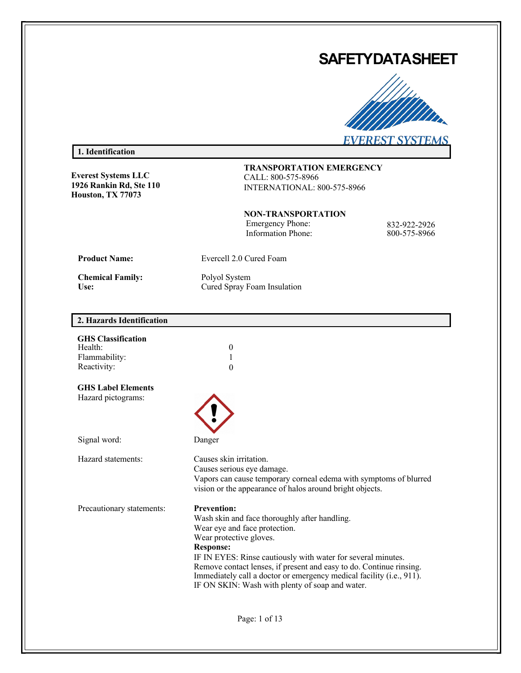# **SAFETYDATASHEET**



# **1. Identification**

**Everest Systems LLC 1926 Rankin Rd, Ste 110 Houston, TX 77073**

**TRANSPORTATION EMERGENCY** CALL: 800-575-8966 INTERNATIONAL: 800-575-8966

**NON-TRANSPORTATION** Emergency Phone: 832-922-2926<br>Information Phone: 800-575-8966 Information Phone:

**Product Name:** Evercell 2.0 Cured Foam

**Chemical Family:** Polyol System

Use: Cured Spray Foam Insulation

# **2. Hazards Identification**

| <b>GHS Classification</b><br>Health:<br>Flammability: | 0<br>1                                                                                                                                                                                                      |
|-------------------------------------------------------|-------------------------------------------------------------------------------------------------------------------------------------------------------------------------------------------------------------|
| Reactivity:                                           | $\theta$                                                                                                                                                                                                    |
| <b>GHS Label Elements</b>                             |                                                                                                                                                                                                             |
| Hazard pictograms:                                    |                                                                                                                                                                                                             |
| Signal word:                                          | Danger                                                                                                                                                                                                      |
| Hazard statements:                                    | Causes skin irritation.<br>Causes serious eye damage.<br>Vapors can cause temporary corneal edema with symptoms of blurred<br>vision or the appearance of halos around bright objects.                      |
| Precautionary statements:                             | <b>Prevention:</b>                                                                                                                                                                                          |
|                                                       | Wash skin and face thoroughly after handling.<br>Wear eye and face protection.                                                                                                                              |
|                                                       | Wear protective gloves.                                                                                                                                                                                     |
|                                                       | <b>Response:</b>                                                                                                                                                                                            |
|                                                       | IF IN EYES: Rinse cautiously with water for several minutes.<br>Remove contact lenses, if present and easy to do. Continue rinsing.<br>Immediately call a doctor or emergency medical facility (i.e., 911). |
|                                                       | IF ON SKIN: Wash with plenty of soap and water.                                                                                                                                                             |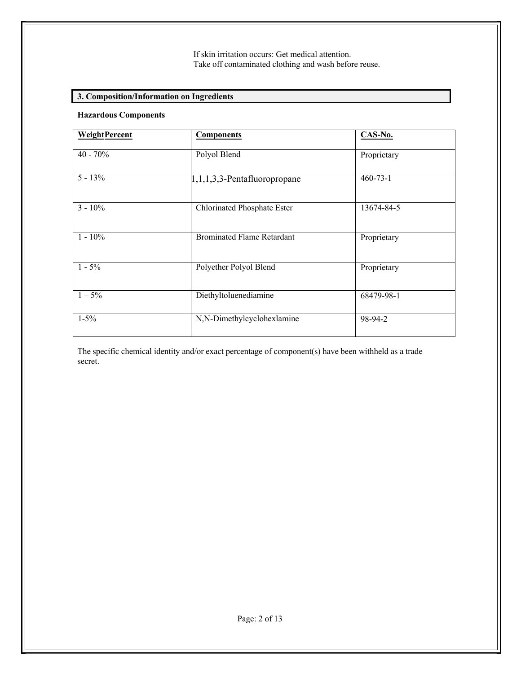# **3. Composition/Information on Ingredients**

## **Hazardous Components**

| WeightPercent | <b>Components</b>                 | CAS-No.        |
|---------------|-----------------------------------|----------------|
| $40 - 70\%$   | Polyol Blend                      | Proprietary    |
|               |                                   |                |
| $5 - 13\%$    | $1,1,1,3,3$ -Pentafluoropropane   | $460 - 73 - 1$ |
| $3 - 10\%$    | Chlorinated Phosphate Ester       | 13674-84-5     |
| $1 - 10\%$    | <b>Brominated Flame Retardant</b> | Proprietary    |
| $1 - 5\%$     | Polyether Polyol Blend            | Proprietary    |
| $1 - 5\%$     | Diethyltoluenediamine             | 68479-98-1     |
| $1-5%$        | N,N-Dimethylcyclohexlamine        | 98-94-2        |

The specific chemical identity and/or exact percentage of component(s) have been withheld as a trade secret.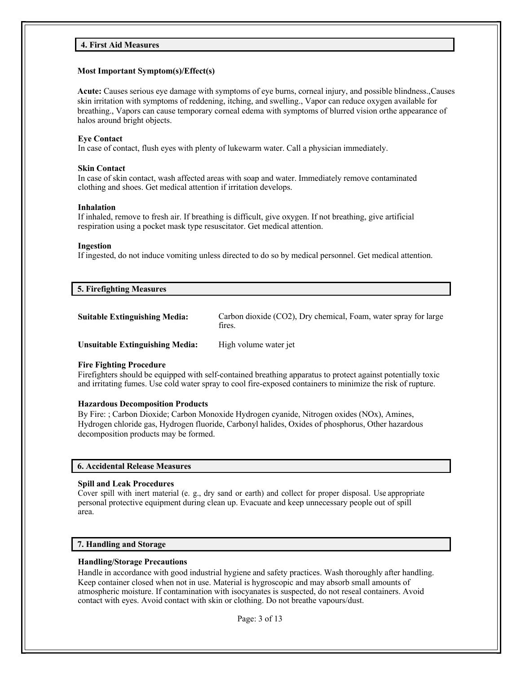## **4. First Aid Measures**

## **Most Important Symptom(s)/Effect(s)**

**Acute:** Causes serious eye damage with symptoms of eye burns, corneal injury, and possible blindness.,Causes skin irritation with symptoms of reddening, itching, and swelling., Vapor can reduce oxygen available for breathing., Vapors can cause temporary corneal edema with symptoms of blurred vision orthe appearance of halos around bright objects.

## **Eye Contact**

In case of contact, flush eyes with plenty of lukewarm water. Call a physician immediately.

## **Skin Contact**

In case of skin contact, wash affected areas with soap and water. Immediately remove contaminated clothing and shoes. Get medical attention if irritation develops.

## **Inhalation**

If inhaled, remove to fresh air. If breathing is difficult, give oxygen. If not breathing, give artificial respiration using a pocket mask type resuscitator. Get medical attention.

## **Ingestion**

If ingested, do not induce vomiting unless directed to do so by medical personnel. Get medical attention.

## **5. Firefighting Measures**

| <b>Suitable Extinguishing Media:</b> | Carbon dioxide (CO2), Dry chemical, Foam, water spray for large<br>fires. |  |
|--------------------------------------|---------------------------------------------------------------------------|--|
| Unsuitable Extinguishing Media:      | High volume water jet                                                     |  |

## **Fire Fighting Procedure**

Firefighters should be equipped with self-contained breathing apparatus to protect against potentially toxic and irritating fumes. Use cold water spray to cool fire-exposed containers to minimize the risk of rupture.

## **Hazardous Decomposition Products**

By Fire: ; Carbon Dioxide; Carbon Monoxide Hydrogen cyanide, Nitrogen oxides (NOx), Amines, Hydrogen chloride gas, Hydrogen fluoride, Carbonyl halides, Oxides of phosphorus, Other hazardous decomposition products may be formed.

## **6. Accidental Release Measures**

## **Spill and Leak Procedures**

Cover spill with inert material (e. g., dry sand or earth) and collect for proper disposal. Use appropriate personal protective equipment during clean up. Evacuate and keep unnecessary people out of spill area.

## **7. Handling and Storage**

## **Handling/Storage Precautions**

Handle in accordance with good industrial hygiene and safety practices. Wash thoroughly after handling. Keep container closed when not in use. Material is hygroscopic and may absorb small amounts of atmospheric moisture. If contamination with isocyanates is suspected, do not reseal containers. Avoid contact with eyes. Avoid contact with skin or clothing. Do not breathe vapours/dust.

Page: 3 of 13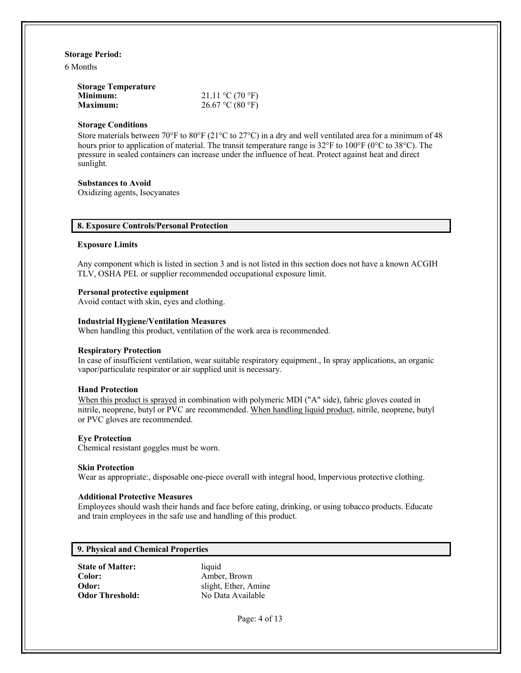#### **Storage Period:**

6 Months

| <b>Storage Temperature</b> |                            |
|----------------------------|----------------------------|
| Minimum:                   | 21.11 °C (70 °F)           |
| <b>Maximum:</b>            | $26.67 \text{ °C}$ (80 °F) |

#### **Storage Conditions**

Store materials between  $70^{\circ}$ F to  $80^{\circ}$ F (21°C to 27°C) in a dry and well ventilated area for a minimum of 48 hours prior to application of material. The transit temperature range is 32°F to 100°F (0°C to 38°C). The pressure in sealed containers can increase under the influence of heat. Protect against heat and direct sunlight.

#### **Substances to Avoid**

Oxidizing agents, Isocyanates

## **8. Exposure Controls/Personal Protection**

#### **Exposure Limits**

Any component which is listed in section 3 and is not listed in this section does not have a known ACGIH TLV, OSHA PEL or supplier recommended occupational exposure limit.

## **Personal protective equipment**

Avoid contact with skin, eyes and clothing.

## **Industrial Hygiene/Ventilation Measures**

When handling this product, ventilation of the work area is recommended.

## **Respiratory Protection**

In case of insufficient ventilation, wear suitable respiratory equipment., In spray applications, an organic vapor/particulate respirator or air supplied unit is necessary.

## **Hand Protection**

When this product is sprayed in combination with polymeric MDI ("A" side), fabric gloves coated in nitrile, neoprene, butyl or PVC are recommended. When handling liquid product, nitrile, neoprene, butyl or PVC gloves are recommended.

## **Eye Protection**

Chemical resistant goggles must be worn.

#### **Skin Protection**

Wear as appropriate:, disposable one-piece overall with integral hood, Impervious protective clothing.

## **Additional Protective Measures**

Employees should wash their hands and face before eating, drinking, or using tobacco products. Educate and train employees in the safe use and handling of this product.

## **9. Physical and Chemical Properties**

**State of Matter:** liquid<br> **Color:** Ambe

**Color:** Amber, Brown **Odor:** slight, Ether, Amine **Odor Threshold:** No Data Available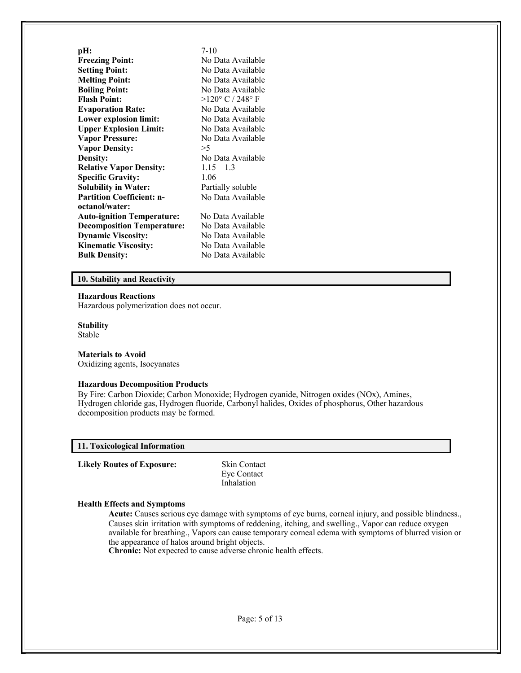| pH:                               | $7-10$                    |
|-----------------------------------|---------------------------|
| <b>Freezing Point:</b>            | No Data Available         |
| <b>Setting Point:</b>             | No Data Available         |
| <b>Melting Point:</b>             | No Data Available         |
| <b>Boiling Point:</b>             | No Data Available         |
| <b>Flash Point:</b>               | $>120^{\circ}$ C / 248° F |
| <b>Evaporation Rate:</b>          | No Data Available         |
| <b>Lower explosion limit:</b>     | No Data Available         |
| <b>Upper Explosion Limit:</b>     | No Data Available         |
| <b>Vapor Pressure:</b>            | No Data Available         |
| <b>Vapor Density:</b>             | >5                        |
| Density:                          | No Data Available         |
| <b>Relative Vapor Density:</b>    | $1.15 - 1.3$              |
| <b>Specific Gravity:</b>          | 1.06                      |
| <b>Solubility in Water:</b>       | Partially soluble         |
| <b>Partition Coefficient: n-</b>  | No Data Available         |
| octanol/water:                    |                           |
| <b>Auto-ignition Temperature:</b> | No Data Available         |
| <b>Decomposition Temperature:</b> | No Data Available         |
| <b>Dynamic Viscosity:</b>         | No Data Available         |
| <b>Kinematic Viscosity:</b>       | No Data Available         |
| <b>Bulk Density:</b>              | No Data Available         |
|                                   |                           |

## **10. Stability and Reactivity**

### **Hazardous Reactions**

Hazardous polymerization does not occur.

# **Stability**

Stable

## **Materials to Avoid**

Oxidizing agents, Isocyanates

## **Hazardous Decomposition Products**

By Fire: Carbon Dioxide; Carbon Monoxide; Hydrogen cyanide, Nitrogen oxides (NOx), Amines, Hydrogen chloride gas, Hydrogen fluoride, Carbonyl halides, Oxides of phosphorus, Other hazardous decomposition products may be formed.

#### **11. Toxicological Information**

**Likely Routes of Exposure:** Skin Contact

Eye Contact Inhalation

#### **Health Effects and Symptoms**

**Acute:** Causes serious eye damage with symptoms of eye burns, corneal injury, and possible blindness., Causes skin irritation with symptoms of reddening, itching, and swelling., Vapor can reduce oxygen available for breathing., Vapors can cause temporary corneal edema with symptoms of blurred vision or the appearance of halos around bright objects.

**Chronic:** Not expected to cause adverse chronic health effects.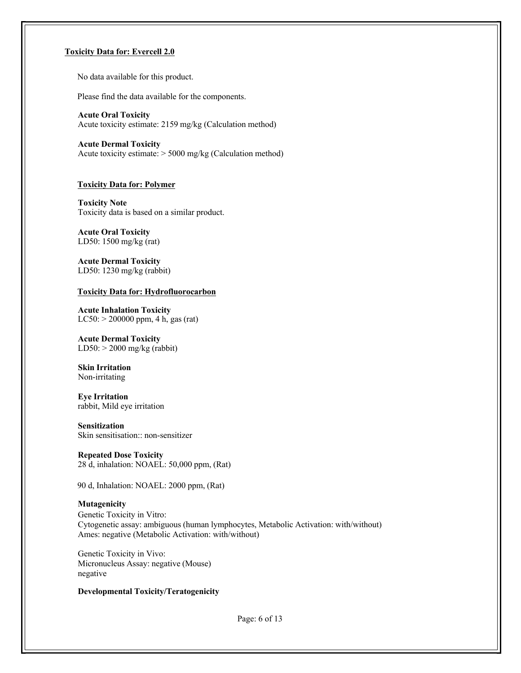## **Toxicity Data for: Evercell 2.0**

No data available for this product.

Please find the data available for the components.

**Acute Oral Toxicity** Acute toxicity estimate: 2159 mg/kg (Calculation method)

**Acute Dermal Toxicity** Acute toxicity estimate: > 5000 mg/kg (Calculation method)

#### **Toxicity Data for: Polymer**

**Toxicity Note** Toxicity data is based on a similar product.

**Acute Oral Toxicity** LD50: 1500 mg/kg (rat)

**Acute Dermal Toxicity** LD50: 1230 mg/kg (rabbit)

#### **Toxicity Data for: Hydrofluorocarbon**

**Acute Inhalation Toxicity**  $LC50: > 200000$  ppm, 4 h, gas (rat)

**Acute Dermal Toxicity**  $LD50:$  > 2000 mg/kg (rabbit)

**Skin Irritation** Non-irritating

**Eye Irritation** rabbit, Mild eye irritation

#### **Sensitization**

Skin sensitisation:: non-sensitizer

**Repeated Dose Toxicity** 28 d, inhalation: NOAEL: 50,000 ppm, (Rat)

90 d, Inhalation: NOAEL: 2000 ppm, (Rat)

## **Mutagenicity**

Genetic Toxicity in Vitro: Cytogenetic assay: ambiguous (human lymphocytes, Metabolic Activation: with/without) Ames: negative (Metabolic Activation: with/without)

Genetic Toxicity in Vivo: Micronucleus Assay: negative (Mouse) negative

## **Developmental Toxicity/Teratogenicity**

Page: 6 of 13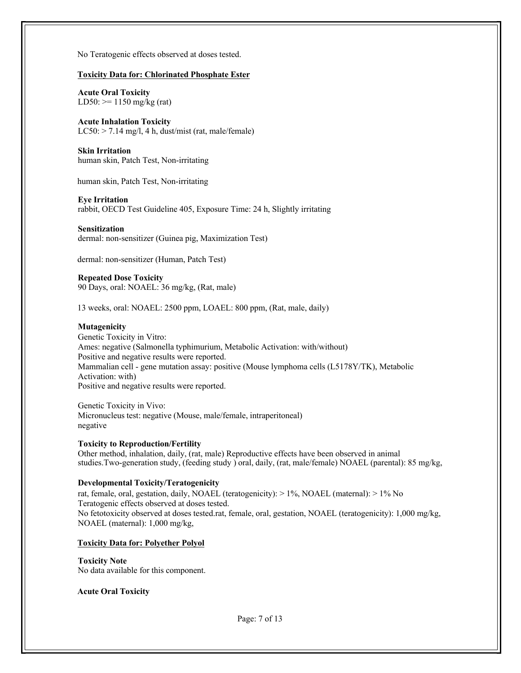No Teratogenic effects observed at doses tested.

## **Toxicity Data for: Chlorinated Phosphate Ester**

**Acute Oral Toxicity** LD50:  $> = 1150$  mg/kg (rat)

## **Acute Inhalation Toxicity**

LC50: > 7.14 mg/l, 4 h, dust/mist (rat, male/female)

## **Skin Irritation**

human skin, Patch Test, Non-irritating

human skin, Patch Test, Non-irritating

## **Eye Irritation**

rabbit, OECD Test Guideline 405, Exposure Time: 24 h, Slightly irritating

## **Sensitization**

dermal: non-sensitizer (Guinea pig, Maximization Test)

dermal: non-sensitizer (Human, Patch Test)

## **Repeated Dose Toxicity**

90 Days, oral: NOAEL: 36 mg/kg, (Rat, male)

13 weeks, oral: NOAEL: 2500 ppm, LOAEL: 800 ppm, (Rat, male, daily)

## **Mutagenicity**

Genetic Toxicity in Vitro: Ames: negative (Salmonella typhimurium, Metabolic Activation: with/without) Positive and negative results were reported. Mammalian cell - gene mutation assay: positive (Mouse lymphoma cells (L5178Y/TK), Metabolic Activation: with) Positive and negative results were reported.

Genetic Toxicity in Vivo: Micronucleus test: negative (Mouse, male/female, intraperitoneal) negative

## **Toxicity to Reproduction/Fertility**

Other method, inhalation, daily, (rat, male) Reproductive effects have been observed in animal studies.Two-generation study, (feeding study ) oral, daily, (rat, male/female) NOAEL (parental): 85 mg/kg,

## **Developmental Toxicity/Teratogenicity**

rat, female, oral, gestation, daily, NOAEL (teratogenicity): > 1%, NOAEL (maternal): > 1% No Teratogenic effects observed at doses tested. No fetotoxicity observed at doses tested.rat, female, oral, gestation, NOAEL (teratogenicity): 1,000 mg/kg, NOAEL (maternal): 1,000 mg/kg,

## **Toxicity Data for: Polyether Polyol**

# **Toxicity Note**

No data available for this component.

## **Acute Oral Toxicity**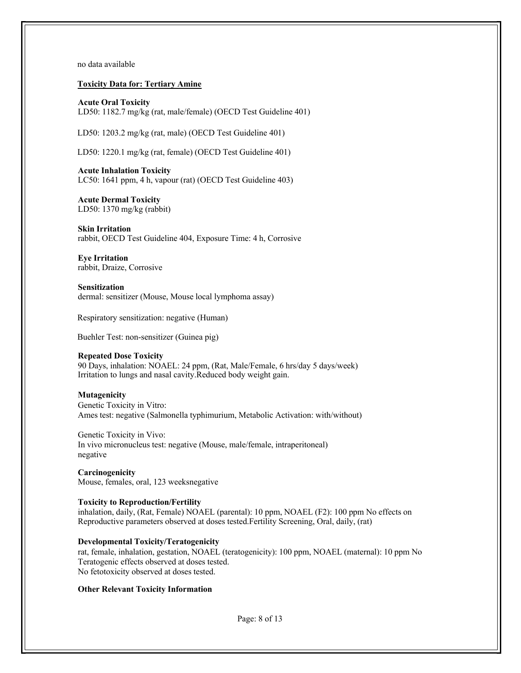no data available

**Toxicity Data for: Tertiary Amine**

**Acute Oral Toxicity** LD50: 1182.7 mg/kg (rat, male/female) (OECD Test Guideline 401)

LD50: 1203.2 mg/kg (rat, male) (OECD Test Guideline 401)

LD50: 1220.1 mg/kg (rat, female) (OECD Test Guideline 401)

**Acute Inhalation Toxicity** LC50: 1641 ppm, 4 h, vapour (rat) (OECD Test Guideline 403)

**Acute Dermal Toxicity** LD50: 1370 mg/kg (rabbit)

**Skin Irritation** rabbit, OECD Test Guideline 404, Exposure Time: 4 h, Corrosive

**Eye Irritation** rabbit, Draize, Corrosive

**Sensitization** dermal: sensitizer (Mouse, Mouse local lymphoma assay)

Respiratory sensitization: negative (Human)

Buehler Test: non-sensitizer (Guinea pig)

#### **Repeated Dose Toxicity**

90 Days, inhalation: NOAEL: 24 ppm, (Rat, Male/Female, 6 hrs/day 5 days/week) Irritation to lungs and nasal cavity.Reduced body weight gain.

#### **Mutagenicity**

Genetic Toxicity in Vitro: Ames test: negative (Salmonella typhimurium, Metabolic Activation: with/without)

Genetic Toxicity in Vivo: In vivo micronucleus test: negative (Mouse, male/female, intraperitoneal) negative

**Carcinogenicity** Mouse, females, oral, 123 weeksnegative

#### **Toxicity to Reproduction/Fertility**

inhalation, daily, (Rat, Female) NOAEL (parental): 10 ppm, NOAEL (F2): 100 ppm No effects on Reproductive parameters observed at doses tested.Fertility Screening, Oral, daily, (rat)

**Developmental Toxicity/Teratogenicity**

rat, female, inhalation, gestation, NOAEL (teratogenicity): 100 ppm, NOAEL (maternal): 10 ppm No Teratogenic effects observed at doses tested. No fetotoxicity observed at doses tested.

#### **Other Relevant Toxicity Information**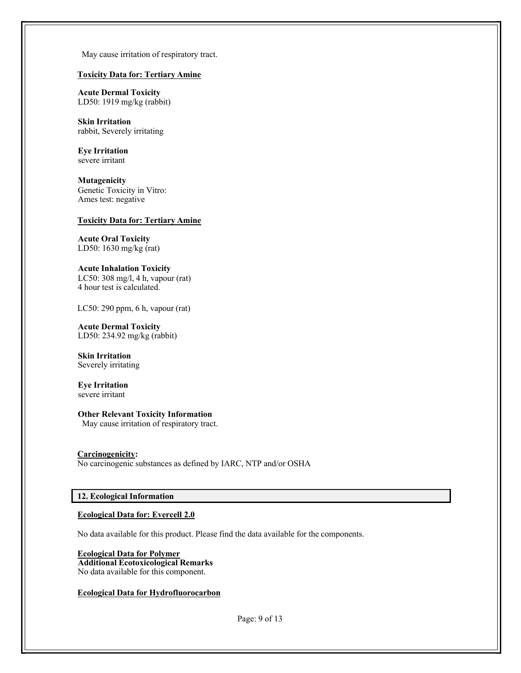May cause irritation of respiratory tract.

## **Toxicity Data for: Tertiary Amine**

**Acute Dermal Toxicity** LD50: 1919 mg/kg (rabbit)

**Skin Irritation** rabbit, Severely irritating

**Eye Irritation** severe irritant

**Mutagenicity** Genetic Toxicity in Vitro: Ames test: negative

## **Toxicity Data for: Tertiary Amine**

**Acute Oral Toxicity** LD50: 1630 mg/kg (rat)

**Acute Inhalation Toxicity** LC50: 308 mg/l, 4 h, vapour (rat) 4 hour test is calculated.

LC50: 290 ppm, 6 h, vapour (rat)

**Acute Dermal Toxicity** LD50: 234.92 mg/kg (rabbit)

**Skin Irritation** Severely irritating

**Eye Irritation** severe irritant

**Other Relevant Toxicity Information**

May cause irritation of respiratory tract.

#### **Carcinogenicity:**

No carcinogenic substances as defined by IARC, NTP and/or OSHA

## **12. Ecological Information**

## **Ecological Data for: Evercell 2.0**

No data available for this product. Please find the data available for the components.

**Ecological Data for Polymer Additional Ecotoxicological Remarks** No data available for this component.

#### **Ecological Data for Hydrofluorocarbon**

Page: 9 of 13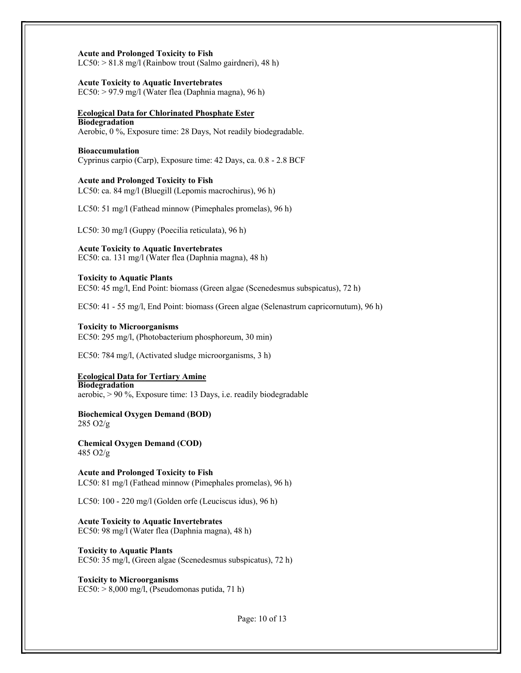#### **Acute and Prolonged Toxicity to Fish**

LC50: > 81.8 mg/l (Rainbow trout (Salmo gairdneri), 48 h)

#### **Acute Toxicity to Aquatic Invertebrates**

EC50: > 97.9 mg/l (Water flea (Daphnia magna), 96 h)

#### **Ecological Data for Chlorinated Phosphate Ester Biodegradation**

Aerobic, 0 %, Exposure time: 28 Days, Not readily biodegradable.

#### **Bioaccumulation**

Cyprinus carpio (Carp), Exposure time: 42 Days, ca. 0.8 - 2.8 BCF

## **Acute and Prolonged Toxicity to Fish**

LC50: ca. 84 mg/l (Bluegill (Lepomis macrochirus), 96 h)

LC50: 51 mg/l (Fathead minnow (Pimephales promelas), 96 h)

LC50: 30 mg/l (Guppy (Poecilia reticulata), 96 h)

## **Acute Toxicity to Aquatic Invertebrates**

EC50: ca. 131 mg/l (Water flea (Daphnia magna), 48 h)

## **Toxicity to Aquatic Plants**

EC50: 45 mg/l, End Point: biomass (Green algae (Scenedesmus subspicatus), 72 h)

EC50: 41 - 55 mg/l, End Point: biomass (Green algae (Selenastrum capricornutum), 96 h)

#### **Toxicity to Microorganisms**

EC50: 295 mg/l, (Photobacterium phosphoreum, 30 min)

EC50: 784 mg/l, (Activated sludge microorganisms, 3 h)

#### **Ecological Data for Tertiary Amine**

**Biodegradation** aerobic, > 90 %, Exposure time: 13 Days, i.e. readily biodegradable

**Biochemical Oxygen Demand (BOD)** 285 O2/g

**Chemical Oxygen Demand (COD)** 485 O2/g

**Acute and Prolonged Toxicity to Fish** LC50: 81 mg/l (Fathead minnow (Pimephales promelas), 96 h)

LC50: 100 - 220 mg/l (Golden orfe (Leuciscus idus), 96 h)

**Acute Toxicity to Aquatic Invertebrates** EC50: 98 mg/l (Water flea (Daphnia magna), 48 h)

**Toxicity to Aquatic Plants** EC50: 35 mg/l, (Green algae (Scenedesmus subspicatus), 72 h)

**Toxicity to Microorganisms**  $EC50: > 8,000$  mg/l, (Pseudomonas putida, 71 h)

Page: 10 of 13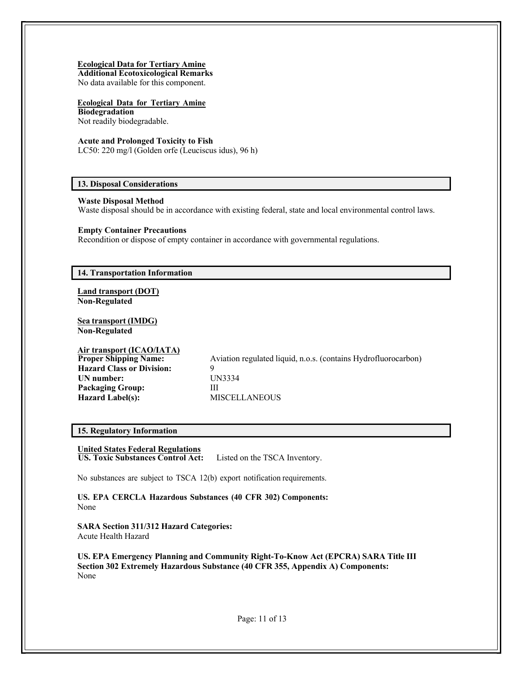## **Ecological Data for Tertiary Amine**

**Additional Ecotoxicological Remarks**

No data available for this component.

#### **Ecological Data for Tertiary Amine Biodegradation**

Not readily biodegradable.

## **Acute and Prolonged Toxicity to Fish**

LC50: 220 mg/l (Golden orfe (Leuciscus idus), 96 h)

## **13. Disposal Considerations**

## **Waste Disposal Method**

Waste disposal should be in accordance with existing federal, state and local environmental control laws.

## **Empty Container Precautions**

Recondition or dispose of empty container in accordance with governmental regulations.

## **14. Transportation Information**

**Land transport (DOT) Non-Regulated**

**Sea transport (IMDG) Non-Regulated**

# **Air transport (ICAO/IATA)**

**Hazard Class or Division:** 9 **UN number:** UN3334 **Packaging Group:** III **Hazard Label(s):** MISCELLANEOUS

Aviation regulated liquid, n.o.s. (contains Hydrofluorocarbon)

## **15. Regulatory Information**

# **United States Federal Regulations**

**US. Toxic Substances Control Act:** Listed on the TSCA Inventory.

No substances are subject to TSCA 12(b) export notification requirements.

**US. EPA CERCLA Hazardous Substances (40 CFR 302) Components:** None

**SARA Section 311/312 Hazard Categories:** Acute Health Hazard

**US. EPA Emergency Planning and Community Right-To-Know Act (EPCRA) SARA Title III Section 302 Extremely Hazardous Substance (40 CFR 355, Appendix A) Components:** None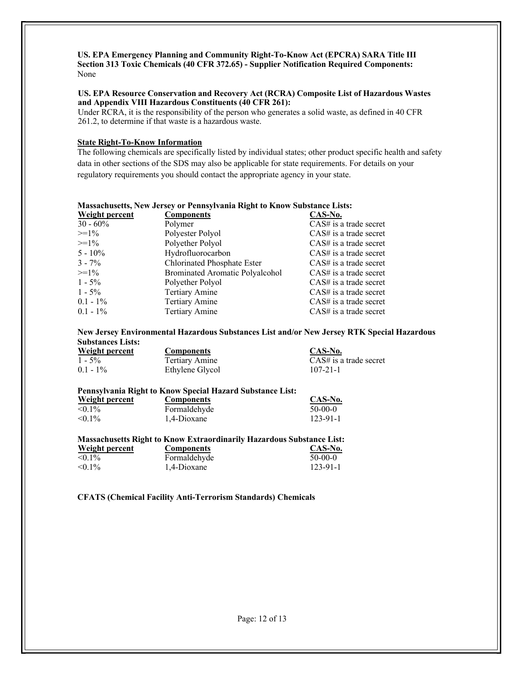## **US. EPA Emergency Planning and Community Right-To-Know Act (EPCRA) SARA Title III Section 313 Toxic Chemicals (40 CFR 372.65) - Supplier Notification Required Components:** None

## **US. EPA Resource Conservation and Recovery Act (RCRA) Composite List of Hazardous Wastes and Appendix VIII Hazardous Constituents (40 CFR 261):**

Under RCRA, it is the responsibility of the person who generates a solid waste, as defined in 40 CFR 261.2, to determine if that waste is a hazardous waste.

## **State Right-To-Know Information**

The following chemicals are specifically listed by individual states; other product specific health and safety data in other sections of the SDS may also be applicable for state requirements. For details on your regulatory requirements you should contact the appropriate agency in your state.

# **Massachusetts, New Jersey or Pennsylvania Right to Know Substance Lists:**

| Weight percent | <b>Components</b>                      | CAS-No.                  |
|----------------|----------------------------------------|--------------------------|
| $30 - 60\%$    | Polymer                                | $CAS#$ is a trade secret |
| $>=1\%$        | Polyester Polyol                       | $CAS#$ is a trade secret |
| $>=1\%$        | Polyether Polyol                       | $CAS#$ is a trade secret |
| $5 - 10\%$     | Hydrofluorocarbon                      | $CAS#$ is a trade secret |
| $3 - 7\%$      | Chlorinated Phosphate Ester            | $CAS#$ is a trade secret |
| $>=1\%$        | <b>Brominated Aromatic Polyalcohol</b> | $CAS#$ is a trade secret |
| $1 - 5\%$      | Polyether Polyol                       | $CAS#$ is a trade secret |
| $1 - 5\%$      | <b>Tertiary Amine</b>                  | $CAS#$ is a trade secret |
| $0.1 - 1\%$    | <b>Tertiary Amine</b>                  | $CAS#$ is a trade secret |
| $0.1 - 1\%$    | <b>Tertiary Amine</b>                  | $CAS#$ is a trade secret |

#### **New Jersey Environmental Hazardous Substances List and/or New Jersey RTK Special Hazardous Substances Lists:**

|           | Weight percent |
|-----------|----------------|
| $1 - 5\%$ |                |
| 0.1101    |                |

**Components CAS-No.** 0.1 - 1% Ethylene Glycol 107-21-1

Tertiary Amine CAS# is a trade secret

 $CAS-No.$ 

123-91-1

# **Pennsylvania Right to Know Special Hazard Substance List:**

| Weight percent | <b>Components</b> | <b>CAS-N</b> |
|----------------|-------------------|--------------|
| $< 0.1\%$      | Formaldehyde      | $50-00-0$    |
| $< 0.1\%$      | 1.4-Dioxane       | 123-91-      |

#### **Massachusetts Right to Know Extraordinarily Hazardous Substance List: Weight percent Components CAS-No.**  $\leq 0.1\%$  Formaldehyde 50-00-0 <0.1% 1,4-Dioxane 123-91-1

# **CFATS (Chemical Facility Anti-Terrorism Standards) Chemicals**